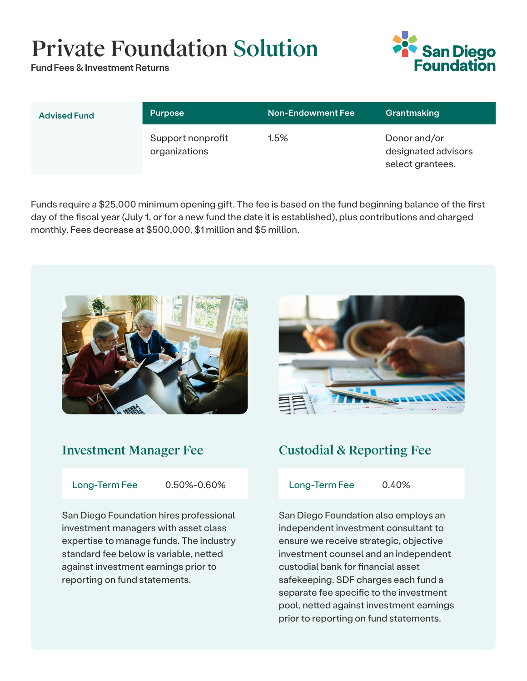# Private Foundation Solution

Fund Fees & Investment Returns



| <b>Advised Fund</b> | <b>Purpose</b>                     | <b>Non-Endowment Fee</b> | Grantmaking                                             |
|---------------------|------------------------------------|--------------------------|---------------------------------------------------------|
|                     | Support nonprofit<br>organizations | $1.5\%$                  | Donor and/or<br>designated advisors<br>select grantees. |

Funds require a \$25,000 minimum opening gift. The fee is based on the fund beginning balance of the first day of the fiscal year (July 1, or for a new fund the date it is established), plus contributions and charged monthly. Fees decrease at \$500,000, \$1 million and \$5 million.



### Investment Manager Fee

Long-Term Fee 0.50%-0.60%

San Diego Foundation hires professional investment managers with asset class expertise to manage funds. The industry standard fee below is variable, netted against investment earnings prior to reporting on fund statements.



# Custodial & Reporting Fee

Long-Term Fee 0.40%

San Diego Foundation also employs an independent investment consultant to ensure we receive strategic, objective investment counsel and an independent custodial bank for financial asset safekeeping. SDF charges each fund a separate fee specific to the investment pool, netted against investment earnings prior to reporting on fund statements.